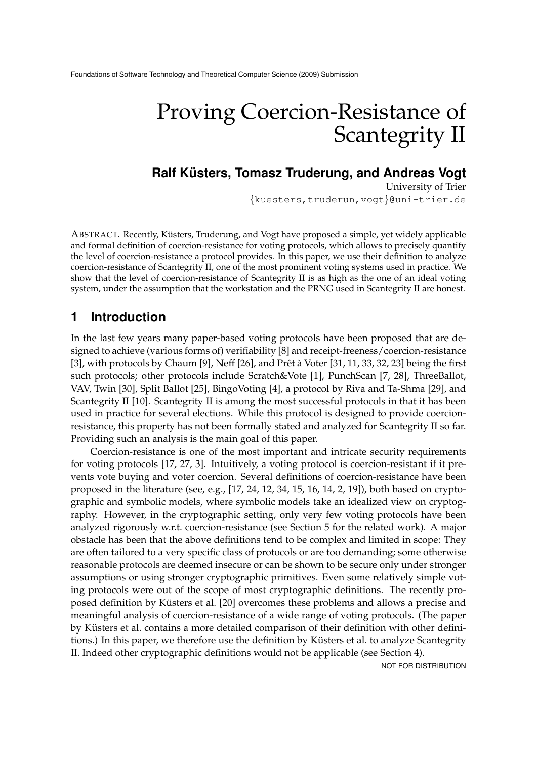# Proving Coercion-Resistance of Scantegrity II

# **Ralf Küsters, Tomasz Truderung, and Andreas Vogt**

University of Trier {kuesters,truderun,vogt}@uni-trier.de

ABSTRACT. Recently, Küsters, Truderung, and Vogt have proposed a simple, yet widely applicable and formal definition of coercion-resistance for voting protocols, which allows to precisely quantify the level of coercion-resistance a protocol provides. In this paper, we use their definition to analyze coercion-resistance of Scantegrity II, one of the most prominent voting systems used in practice. We show that the level of coercion-resistance of Scantegrity II is as high as the one of an ideal voting system, under the assumption that the workstation and the PRNG used in Scantegrity II are honest.

# **1 Introduction**

In the last few years many paper-based voting protocols have been proposed that are designed to achieve (various forms of) verifiability [8] and receipt-freeness/coercion-resistance [3], with protocols by Chaum [9], Neff [26], and Prêt à Voter [31, 11, 33, 32, 23] being the first such protocols; other protocols include Scratch&Vote [1], PunchScan [7, 28], ThreeBallot, VAV, Twin [30], Split Ballot [25], BingoVoting [4], a protocol by Riva and Ta-Shma [29], and Scantegrity II [10]. Scantegrity II is among the most successful protocols in that it has been used in practice for several elections. While this protocol is designed to provide coercionresistance, this property has not been formally stated and analyzed for Scantegrity II so far. Providing such an analysis is the main goal of this paper.

Coercion-resistance is one of the most important and intricate security requirements for voting protocols [17, 27, 3]. Intuitively, a voting protocol is coercion-resistant if it prevents vote buying and voter coercion. Several definitions of coercion-resistance have been proposed in the literature (see, e.g., [17, 24, 12, 34, 15, 16, 14, 2, 19]), both based on cryptographic and symbolic models, where symbolic models take an idealized view on cryptography. However, in the cryptographic setting, only very few voting protocols have been analyzed rigorously w.r.t. coercion-resistance (see Section 5 for the related work). A major obstacle has been that the above definitions tend to be complex and limited in scope: They are often tailored to a very specific class of protocols or are too demanding; some otherwise reasonable protocols are deemed insecure or can be shown to be secure only under stronger assumptions or using stronger cryptographic primitives. Even some relatively simple voting protocols were out of the scope of most cryptographic definitions. The recently proposed definition by Küsters et al. [20] overcomes these problems and allows a precise and meaningful analysis of coercion-resistance of a wide range of voting protocols. (The paper by Küsters et al. contains a more detailed comparison of their definition with other definitions.) In this paper, we therefore use the definition by Küsters et al. to analyze Scantegrity II. Indeed other cryptographic definitions would not be applicable (see Section 4).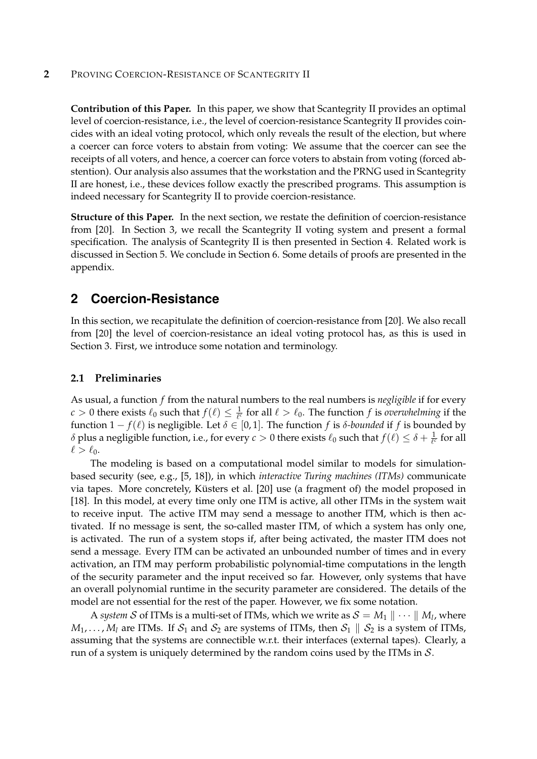**Contribution of this Paper.** In this paper, we show that Scantegrity II provides an optimal level of coercion-resistance, i.e., the level of coercion-resistance Scantegrity II provides coincides with an ideal voting protocol, which only reveals the result of the election, but where a coercer can force voters to abstain from voting: We assume that the coercer can see the receipts of all voters, and hence, a coercer can force voters to abstain from voting (forced abstention). Our analysis also assumes that the workstation and the PRNG used in Scantegrity II are honest, i.e., these devices follow exactly the prescribed programs. This assumption is indeed necessary for Scantegrity II to provide coercion-resistance.

**Structure of this Paper.** In the next section, we restate the definition of coercion-resistance from [20]. In Section 3, we recall the Scantegrity II voting system and present a formal specification. The analysis of Scantegrity II is then presented in Section 4. Related work is discussed in Section 5. We conclude in Section 6. Some details of proofs are presented in the appendix.

# **2 Coercion-Resistance**

In this section, we recapitulate the definition of coercion-resistance from [20]. We also recall from [20] the level of coercion-resistance an ideal voting protocol has, as this is used in Section 3. First, we introduce some notation and terminology.

## **2.1 Preliminaries**

As usual, a function *f* from the natural numbers to the real numbers is *negligible* if for every  $c > 0$  there exists  $\ell_0$  such that  $f(\ell) \leq \frac{1}{\ell^c}$  for all  $\ell > \ell_0$ . The function  $f$  is *overwhelming* if the function 1 − *f*( $\ell$ ) is negligible. Let  $δ ∈ [0, 1]$ . The function *f* is δ*-bounded* if *f* is bounded by  $\delta$  plus a negligible function, i.e., for every  $c > 0$  there exists  $\ell_0$  such that  $f(\ell) \leq \delta + \frac{1}{\ell^c}$  for all  $\ell > \ell_0$ .

The modeling is based on a computational model similar to models for simulationbased security (see, e.g., [5, 18]), in which *interactive Turing machines (ITMs)* communicate via tapes. More concretely, Küsters et al. [20] use (a fragment of) the model proposed in [18]. In this model, at every time only one ITM is active, all other ITMs in the system wait to receive input. The active ITM may send a message to another ITM, which is then activated. If no message is sent, the so-called master ITM, of which a system has only one, is activated. The run of a system stops if, after being activated, the master ITM does not send a message. Every ITM can be activated an unbounded number of times and in every activation, an ITM may perform probabilistic polynomial-time computations in the length of the security parameter and the input received so far. However, only systems that have an overall polynomial runtime in the security parameter are considered. The details of the model are not essential for the rest of the paper. However, we fix some notation.

A system  $\mathcal S$  of ITMs is a multi-set of ITMs, which we write as  $\mathcal S = M_1 \parallel \cdots \parallel M_l$ , where  $M_1, \ldots, M_l$  are ITMs. If  $S_1$  and  $S_2$  are systems of ITMs, then  $S_1 \parallel S_2$  is a system of ITMs, assuming that the systems are connectible w.r.t. their interfaces (external tapes). Clearly, a run of a system is uniquely determined by the random coins used by the ITMs in  $S$ .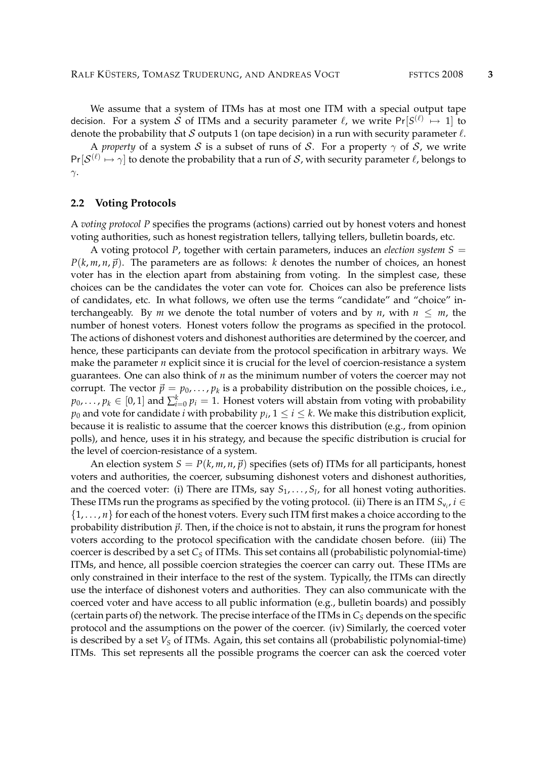We assume that a system of ITMs has at most one ITM with a special output tape decision. For a system  ${\cal S}$  of ITMs and a security parameter  $\ell$ , we write Pr $[S^{(\ell)}\ \mapsto\ 1]$  to denote the probability that S outputs 1 (on tape decision) in a run with security parameter  $\ell$ .

A *property* of a system S is a subset of runs of S. For a property  $\gamma$  of S, we write Pr $[\mathcal{S}^{(\ell)} \mapsto \gamma]$  to denote the probability that a run of  $\mathcal{S}$ , with security parameter  $\ell$ , belongs to  $\gamma$ .

#### **2.2 Voting Protocols**

A *voting protocol P* specifies the programs (actions) carried out by honest voters and honest voting authorities, such as honest registration tellers, tallying tellers, bulletin boards, etc.

A voting protocol *P*, together with certain parameters, induces an *election system S* =  $P(k, m, n, \vec{p})$ . The parameters are as follows: *k* denotes the number of choices, an honest voter has in the election apart from abstaining from voting. In the simplest case, these choices can be the candidates the voter can vote for. Choices can also be preference lists of candidates, etc. In what follows, we often use the terms "candidate" and "choice" interchangeably. By *m* we denote the total number of voters and by *n*, with  $n \le m$ , the number of honest voters. Honest voters follow the programs as specified in the protocol. The actions of dishonest voters and dishonest authorities are determined by the coercer, and hence, these participants can deviate from the protocol specification in arbitrary ways. We make the parameter *n* explicit since it is crucial for the level of coercion-resistance a system guarantees. One can also think of *n* as the minimum number of voters the coercer may not corrupt. The vector  $\vec{p} = p_0, \ldots, p_k$  is a probability distribution on the possible choices, i.e.,  $p_0, \ldots, p_k \in [0,1]$  and  $\sum_{i=0}^k p_i = 1.$  Honest voters will abstain from voting with probability  $p_0$  and vote for candidate *i* with probability  $p_i$ ,  $1\leq i\leq k.$  We make this distribution explicit, because it is realistic to assume that the coercer knows this distribution (e.g., from opinion polls), and hence, uses it in his strategy, and because the specific distribution is crucial for the level of coercion-resistance of a system.

An election system  $S = P(k, m, n, \vec{p})$  specifies (sets of) ITMs for all participants, honest voters and authorities, the coercer, subsuming dishonest voters and dishonest authorities, and the coerced voter: (i) There are ITMs, say  $S_1, \ldots, S_l$ , for all honest voting authorities. These ITMs run the programs as specified by the voting protocol. (ii) There is an ITM  $S_{\mathsf{v}_i}$ ,  $i \in$  $\{1,\ldots,n\}$  for each of the honest voters. Every such ITM first makes a choice according to the probability distribution  $\vec{p}$ . Then, if the choice is not to abstain, it runs the program for honest voters according to the protocol specification with the candidate chosen before. (iii) The coercer is described by a set *C<sup>S</sup>* of ITMs. This set contains all (probabilistic polynomial-time) ITMs, and hence, all possible coercion strategies the coercer can carry out. These ITMs are only constrained in their interface to the rest of the system. Typically, the ITMs can directly use the interface of dishonest voters and authorities. They can also communicate with the coerced voter and have access to all public information (e.g., bulletin boards) and possibly (certain parts of) the network. The precise interface of the ITMs in *C<sup>S</sup>* depends on the specific protocol and the assumptions on the power of the coercer. (iv) Similarly, the coerced voter is described by a set  $V_S$  of ITMs. Again, this set contains all (probabilistic polynomial-time) ITMs. This set represents all the possible programs the coercer can ask the coerced voter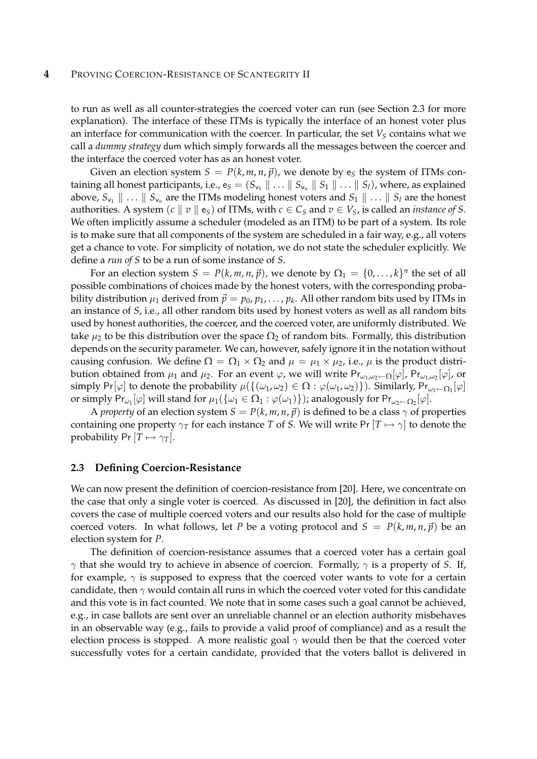to run as well as all counter-strategies the coerced voter can run (see Section 2.3 for more explanation). The interface of these ITMs is typically the interface of an honest voter plus an interface for communication with the coercer. In particular, the set  $V<sub>S</sub>$  contains what we call a *dummy strategy* dum which simply forwards all the messages between the coercer and the interface the coerced voter has as an honest voter.

Given an election system  $S = P(k, m, n, \vec{p})$ , we denote by e<sub>S</sub> the system of ITMs containing all honest participants, i.e.,  $e_S = (S_{v_1} \parallel \ldots \parallel S_{v_n} \parallel S_1 \parallel \ldots \parallel S_l)$ , where, as explained above,  $S_{\sf v_1}\parallel\ldots\parallel S_{\sf v_n}$  are the ITMs modeling honest voters and  $S_1\parallel\ldots\parallel S_l$  are the honest authorities. A system  $(c \parallel v \parallel e_S)$  of ITMs, with  $c \in C_S$  and  $v \in V_S$ , is called an *instance of S*. We often implicitly assume a scheduler (modeled as an ITM) to be part of a system. Its role is to make sure that all components of the system are scheduled in a fair way, e.g., all voters get a chance to vote. For simplicity of notation, we do not state the scheduler explicitly. We define a *run of S* to be a run of some instance of *S*.

For an election system  $S = P(k, m, n, \vec{p})$ , we denote by  $\Omega_1 = \{0, \ldots, k\}^n$  the set of all possible combinations of choices made by the honest voters, with the corresponding probability distribution  $\mu_1$  derived from  $\vec{p} = p_0, p_1, \ldots, p_k$ . All other random bits used by ITMs in an instance of *S*, i.e., all other random bits used by honest voters as well as all random bits used by honest authorities, the coercer, and the coerced voter, are uniformly distributed. We take  $\mu_2$  to be this distribution over the space  $\Omega_2$  of random bits. Formally, this distribution depends on the security parameter. We can, however, safely ignore it in the notation without causing confusion. We define  $\Omega = \Omega_1 \times \Omega_2$  and  $\mu = \mu_1 \times \mu_2$ , i.e.,  $\mu$  is the product distribution obtained from  $\mu_1$  and  $\mu_2$ . For an event  $\varphi$ , we will write  $Pr_{\omega_1,\omega_2\in\Omega}[\varphi]$ ,  $Pr_{\omega_1,\omega_2}[\varphi]$ , or simply Pr[ $\varphi$ ] to denote the probability  $\mu(\{(\omega_1,\omega_2)\in\Omega:\varphi(\omega_1,\omega_2)\})$ . Similarly, Pr $_{\omega_1\leftarrow\Omega_1}[\varphi]$ or simply  ${\sf Pr}_{\omega_1}[\varphi]$  will stand for  $\mu_1(\{\omega_1\in\Omega_1:\varphi(\omega_1)\})$ ; analogously for  ${\sf Pr}_{\omega_2\leftarrow \Omega_2}[\varphi].$ 

A *property* of an election system  $S = P(k, m, n, \vec{p})$  is defined to be a class  $\gamma$  of properties containing one property  $\gamma_T$  for each instance *T* of *S*. We will write Pr  $[T \mapsto \gamma]$  to denote the probability Pr  $[T \mapsto \gamma_T]$ .

#### **2.3 Defining Coercion-Resistance**

We can now present the definition of coercion-resistance from [20]. Here, we concentrate on the case that only a single voter is coerced. As discussed in [20], the definition in fact also covers the case of multiple coerced voters and our results also hold for the case of multiple coerced voters. In what follows, let *P* be a voting protocol and  $S = P(k, m, n, \vec{p})$  be an election system for *P*.

The definition of coercion-resistance assumes that a coerced voter has a certain goal  $\gamma$  that she would try to achieve in absence of coercion. Formally,  $\gamma$  is a property of *S*. If, for example,  $\gamma$  is supposed to express that the coerced voter wants to vote for a certain candidate, then  $\gamma$  would contain all runs in which the coerced voter voted for this candidate and this vote is in fact counted. We note that in some cases such a goal cannot be achieved, e.g., in case ballots are sent over an unreliable channel or an election authority misbehaves in an observable way (e.g., fails to provide a valid proof of compliance) and as a result the election process is stopped. A more realistic goal  $\gamma$  would then be that the coerced voter successfully votes for a certain candidate, provided that the voters ballot is delivered in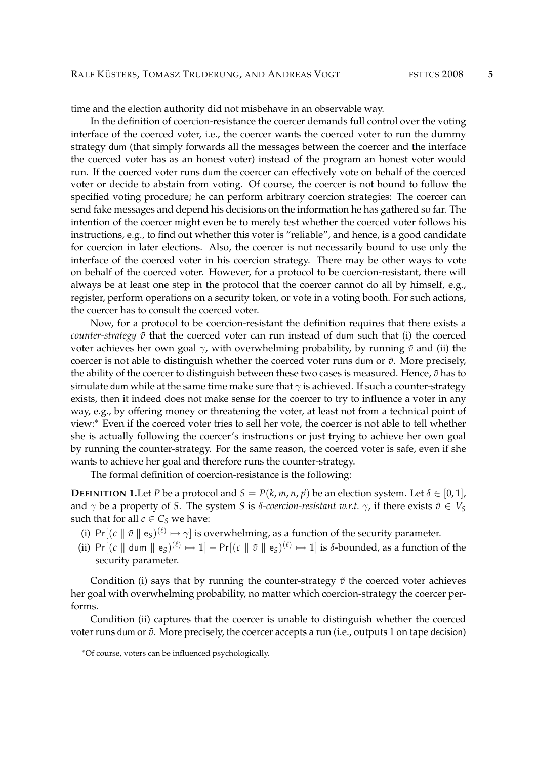time and the election authority did not misbehave in an observable way.

In the definition of coercion-resistance the coercer demands full control over the voting interface of the coerced voter, i.e., the coercer wants the coerced voter to run the dummy strategy dum (that simply forwards all the messages between the coercer and the interface the coerced voter has as an honest voter) instead of the program an honest voter would run. If the coerced voter runs dum the coercer can effectively vote on behalf of the coerced voter or decide to abstain from voting. Of course, the coercer is not bound to follow the specified voting procedure; he can perform arbitrary coercion strategies: The coercer can send fake messages and depend his decisions on the information he has gathered so far. The intention of the coercer might even be to merely test whether the coerced voter follows his instructions, e.g., to find out whether this voter is "reliable", and hence, is a good candidate for coercion in later elections. Also, the coercer is not necessarily bound to use only the interface of the coerced voter in his coercion strategy. There may be other ways to vote on behalf of the coerced voter. However, for a protocol to be coercion-resistant, there will always be at least one step in the protocol that the coercer cannot do all by himself, e.g., register, perform operations on a security token, or vote in a voting booth. For such actions, the coercer has to consult the coerced voter.

Now, for a protocol to be coercion-resistant the definition requires that there exists a *counter-strategy*  $\tilde{v}$  that the coerced voter can run instead of dum such that (i) the coerced voter achieves her own goal  $\gamma$ , with overwhelming probability, by running  $\tilde{v}$  and (ii) the coercer is not able to distinguish whether the coerced voter runs dum or  $\tilde{v}$ . More precisely, the ability of the coercer to distinguish between these two cases is measured. Hence,  $\tilde{v}$  has to simulate dum while at the same time make sure that  $\gamma$  is achieved. If such a counter-strategy exists, then it indeed does not make sense for the coercer to try to influence a voter in any way, e.g., by offering money or threatening the voter, at least not from a technical point of view:<sup>∗</sup> Even if the coerced voter tries to sell her vote, the coercer is not able to tell whether she is actually following the coercer's instructions or just trying to achieve her own goal by running the counter-strategy. For the same reason, the coerced voter is safe, even if she wants to achieve her goal and therefore runs the counter-strategy.

The formal definition of coercion-resistance is the following:

**DEFINITION 1.** Let *P* be a protocol and *S* = *P*( $k$ ,  $m$ ,  $n$ ,  $\vec{p}$ ) be an election system. Let  $\delta \in [0, 1]$ , and  $\gamma$  be a property of *S*. The system *S* is *δ*-coercion-resistant w.r.t.  $\gamma$ , if there exists  $\tilde{v} \in V_S$ such that for all  $c \in C_S$  we have:

- (i)  $Pr[(c \parallel \tilde{v} \parallel e_S)^{(\ell)} \mapsto \gamma]$  is overwhelming, as a function of the security parameter.
- (ii)  $Pr[(c \parallel \text{dum} \parallel e_S)^{(\ell)} \mapsto 1] Pr[(c \parallel \tilde{v} \parallel e_S)^{(\ell)} \mapsto 1]$  is  $\delta$ -bounded, as a function of the security parameter.

Condition (i) says that by running the counter-strategy  $\tilde{v}$  the coerced voter achieves her goal with overwhelming probability, no matter which coercion-strategy the coercer performs.

Condition (ii) captures that the coercer is unable to distinguish whether the coerced voter runs dum or  $\tilde{v}$ . More precisely, the coercer accepts a run (i.e., outputs 1 on tape decision)

<sup>∗</sup>Of course, voters can be influenced psychologically.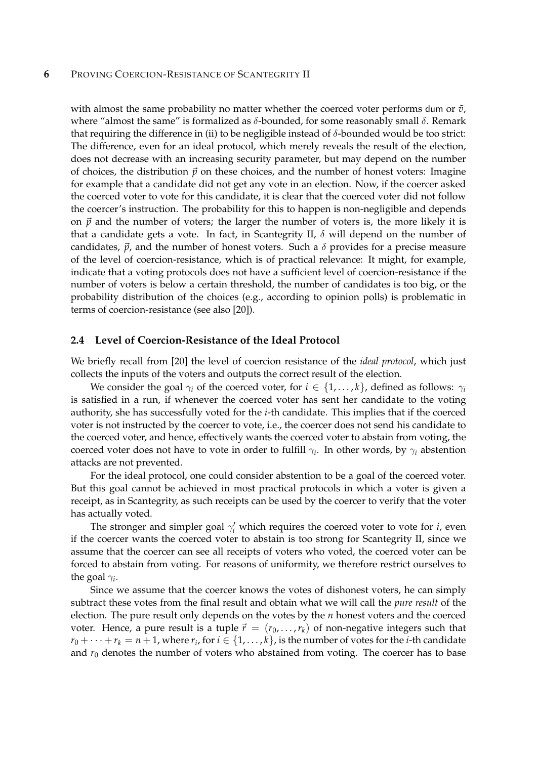with almost the same probability no matter whether the coerced voter performs dum or  $\tilde{v}$ , where "almost the same" is formalized as  $δ$ -bounded, for some reasonably small  $δ$ . Remark that requiring the difference in (ii) to be negligible instead of  $\delta$ -bounded would be too strict: The difference, even for an ideal protocol, which merely reveals the result of the election, does not decrease with an increasing security parameter, but may depend on the number of choices, the distribution  $\vec{p}$  on these choices, and the number of honest voters: Imagine for example that a candidate did not get any vote in an election. Now, if the coercer asked the coerced voter to vote for this candidate, it is clear that the coerced voter did not follow the coercer's instruction. The probability for this to happen is non-negligible and depends on  $\vec{p}$  and the number of voters; the larger the number of voters is, the more likely it is that a candidate gets a vote. In fact, in Scantegrity II,  $\delta$  will depend on the number of candidates,  $\vec{p}$ , and the number of honest voters. Such a  $\delta$  provides for a precise measure of the level of coercion-resistance, which is of practical relevance: It might, for example, indicate that a voting protocols does not have a sufficient level of coercion-resistance if the number of voters is below a certain threshold, the number of candidates is too big, or the probability distribution of the choices (e.g., according to opinion polls) is problematic in terms of coercion-resistance (see also [20]).

#### **2.4 Level of Coercion-Resistance of the Ideal Protocol**

We briefly recall from [20] the level of coercion resistance of the *ideal protocol*, which just collects the inputs of the voters and outputs the correct result of the election.

We consider the goal  $\gamma_i$  of the coerced voter, for  $i \in \{1, \ldots, k\}$ , defined as follows:  $\gamma_i$ is satisfied in a run, if whenever the coerced voter has sent her candidate to the voting authority, she has successfully voted for the *i*-th candidate. This implies that if the coerced voter is not instructed by the coercer to vote, i.e., the coercer does not send his candidate to the coerced voter, and hence, effectively wants the coerced voter to abstain from voting, the coerced voter does not have to vote in order to fulfill  $\gamma_i.$  In other words, by  $\gamma_i$  abstention attacks are not prevented.

For the ideal protocol, one could consider abstention to be a goal of the coerced voter. But this goal cannot be achieved in most practical protocols in which a voter is given a receipt, as in Scantegrity, as such receipts can be used by the coercer to verify that the voter has actually voted.

The stronger and simpler goal  $\gamma'_i$  which requires the coerced voter to vote for *i*, even if the coercer wants the coerced voter to abstain is too strong for Scantegrity II, since we assume that the coercer can see all receipts of voters who voted, the coerced voter can be forced to abstain from voting. For reasons of uniformity, we therefore restrict ourselves to the goal  $\gamma_i.$ 

Since we assume that the coercer knows the votes of dishonest voters, he can simply subtract these votes from the final result and obtain what we will call the *pure result* of the election. The pure result only depends on the votes by the *n* honest voters and the coerced voter. Hence, a pure result is a tuple  $\vec{r} = (r_0, \ldots, r_k)$  of non-negative integers such that  $r_0 + \cdots + r_k = n + 1$ , where  $r_i$ , for  $i \in \{1, \ldots, k\}$ , is the number of votes for the *i*-th candidate and  $r_0$  denotes the number of voters who abstained from voting. The coercer has to base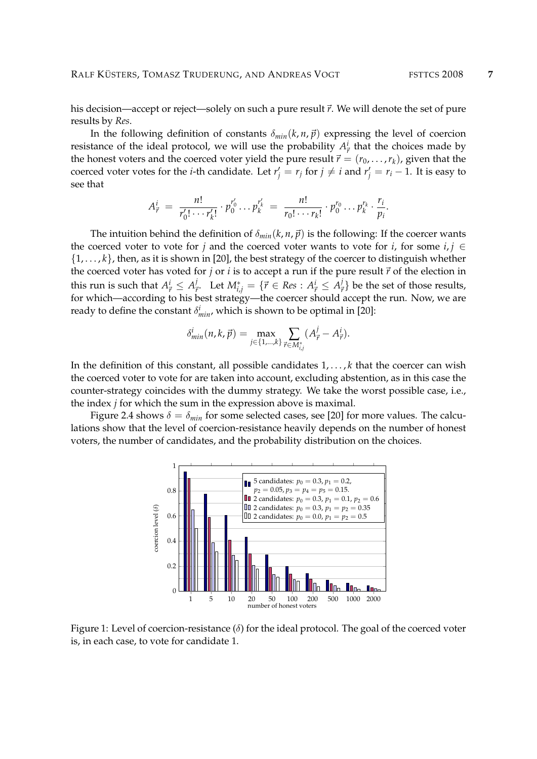his decision—accept or reject—solely on such a pure result  $\vec{r}$ . We will denote the set of pure results by *Res*.

In the following definition of constants  $\delta_{min}(k, n, \vec{p})$  expressing the level of coercion resistance of the ideal protocol, we will use the probability  $A^i_{\vec{r}}$  that the choices made by the honest voters and the coerced voter yield the pure result  $\vec{r} = (r_0, \ldots, r_k)$ , given that the coerced voter votes for the *i*-th candidate. Let  $r'_j = r_j$  for  $j \neq i$  and  $r'_j = r_i - 1$ . It is easy to see that

$$
A_{\vec{r}}^i = \frac{n!}{r'_0! \cdots r'_k!} \cdot p_0^{r'_0} \cdots p_k^{r'_k} = \frac{n!}{r_0! \cdots r_k!} \cdot p_0^{r_0} \cdots p_k^{r_k} \cdot \frac{r_i}{p_i}.
$$

The intuition behind the definition of  $\delta_{min}(k, n, \vec{p})$  is the following: If the coercer wants the coerced voter to vote for *j* and the coerced voter wants to vote for *i*, for some  $i, j \in$  $\{1,\ldots,k\}$ , then, as it is shown in [20], the best strategy of the coercer to distinguish whether the coerced voter has voted for *j* or *i* is to accept a run if the pure result  $\vec{r}$  of the election in this run is such that  $A^i_{\vec{r}} \leq A^j_{\vec{r}}$  $\frac{j}{\vec{r}}$ . Let  $M_{i,j}^* = \{\vec{r} \in \mathit{Res} : A^i_{\vec{r}} \leq A^j_{\vec{r}}\}$  $\left\{\frac{J}{\vec{r}}\right\}$  be the set of those results, for which—according to his best strategy—the coercer should accept the run. Now, we are ready to define the constant  $\delta_{min}^i$ , which is shown to be optimal in [20]:

$$
\delta_{min}^i(n,k,\vec{p}) = \max_{j \in \{1,\dots,k\}} \sum_{\vec{r} \in M_{i,j}^*} (A_{\vec{r}}^j - A_{\vec{r}}^i).
$$

In the definition of this constant, all possible candidates 1, . . . , *k* that the coercer can wish the coerced voter to vote for are taken into account, excluding abstention, as in this case the counter-strategy coincides with the dummy strategy. We take the worst possible case, i.e., the index *j* for which the sum in the expression above is maximal.

Figure 2.4 shows  $\delta = \delta_{min}$  for some selected cases, see [20] for more values. The calculations show that the level of coercion-resistance heavily depends on the number of honest voters, the number of candidates, and the probability distribution on the choices.



Figure 1: Level of coercion-resistance  $(\delta)$  for the ideal protocol. The goal of the coerced voter is, in each case, to vote for candidate 1.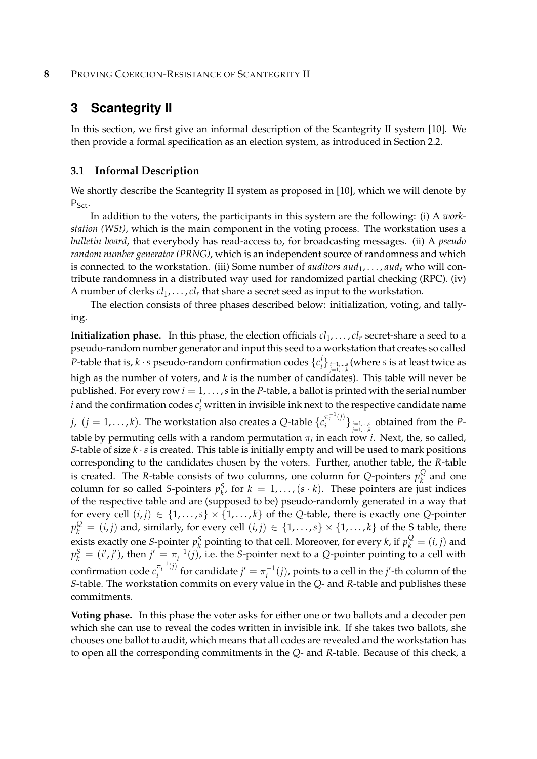## **3 Scantegrity II**

In this section, we first give an informal description of the Scantegrity II system [10]. We then provide a formal specification as an election system, as introduced in Section 2.2.

#### **3.1 Informal Description**

We shortly describe the Scantegrity II system as proposed in [10], which we will denote by P<sub>Sct</sub>.

In addition to the voters, the participants in this system are the following: (i) A *workstation (WSt)*, which is the main component in the voting process. The workstation uses a *bulletin board*, that everybody has read-access to, for broadcasting messages. (ii) A *pseudo random number generator (PRNG)*, which is an independent source of randomness and which is connected to the workstation. (iii) Some number of *auditors aud*<sub>1</sub>, ..., *aud*<sub>t</sub> who will contribute randomness in a distributed way used for randomized partial checking (RPC). (iv) A number of clerks *cl*1, . . . , *cl<sup>r</sup>* that share a secret seed as input to the workstation.

The election consists of three phases described below: initialization, voting, and tallying.

**Initialization phase.** In this phase, the election officials  $cl_1$ , ...,  $cl_r$  secret-share a seed to a pseudo-random number generator and input this seed to a workstation that creates so called *P*-table that is,  $k \cdot s$  pseudo-random confirmation codes  $\{c_i^j\}$  $\sum\limits_{j=1,...,s\atop j=1,...,k}^{J}$  (where  $s$  is at least twice as high as the number of voters, and *k* is the number of candidates). This table will never be published. For every row  $i = 1, \ldots, s$  in the *P*-table, a ballot is printed with the serial number *i* and the confirmation codes  $c_i^j$  written in invisible ink next to the respective candidate name *j,*  $(j = 1, \ldots, k)$ . The workstation also creates a Q-table  $\{c_i^{\pi_i^{-1}(j)}\}$  $\{f_i^{(n_i-1)}\}_{i=1,\dots,k}$  obtained from the *P*table by permuting cells with a random permutation  $\pi_i$  in each row *i*. Next, the, so called, *S*-table of size  $k \cdot s$  is created. This table is initially empty and will be used to mark positions corresponding to the candidates chosen by the voters. Further, another table, the *R*-table is created. The *R*-table consists of two columns, one column for Q-pointers  $p_k^{\mathbb{Q}}$  $\frac{Q}{k}$  and one column for so called *S*-pointers  $p_k^S$ , for  $k = 1, ..., (s \cdot k)$ . These pointers are just indices of the respective table and are (supposed to be) pseudo-randomly generated in a way that for every cell  $(i, j) \in \{1, \ldots, s\} \times \{1, \ldots, k\}$  of the *Q*-table, there is exactly one *Q*-pointer  $p_k^Q = (i, j)$  and, similarly, for every cell  $(i, j) \in \{1, \ldots, s\} \times \{1, \ldots, k\}$  of the S table, there exists exactly one *S*-pointer  $p_k^S$  pointing to that cell. Moreover, for every *k*, if  $p_k^Q = (i, j)$  and  $p_k^S = (i', j')$ , then  $j' = \pi_i^{-1}(j)$ , i.e. the *S*-pointer next to a *Q*-pointer pointing to a cell with confirmation code  $c_i^{\pi_i^{-1}(j)}$  $\pi_i^{\pi_i^{-1}(j)}$  for candidate  $j' = \pi_i^{-1}(j)$ , points to a cell in the *j*'-th column of the *S*-table. The workstation commits on every value in the *Q*- and *R*-table and publishes these commitments.

**Voting phase.** In this phase the voter asks for either one or two ballots and a decoder pen which she can use to reveal the codes written in invisible ink. If she takes two ballots, she chooses one ballot to audit, which means that all codes are revealed and the workstation has to open all the corresponding commitments in the *Q*- and *R*-table. Because of this check, a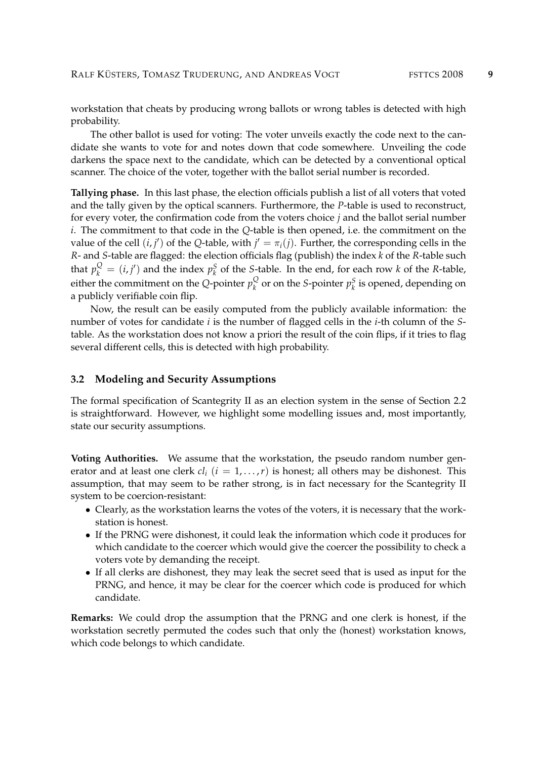workstation that cheats by producing wrong ballots or wrong tables is detected with high probability.

The other ballot is used for voting: The voter unveils exactly the code next to the candidate she wants to vote for and notes down that code somewhere. Unveiling the code darkens the space next to the candidate, which can be detected by a conventional optical scanner. The choice of the voter, together with the ballot serial number is recorded.

**Tallying phase.** In this last phase, the election officials publish a list of all voters that voted and the tally given by the optical scanners. Furthermore, the *P*-table is used to reconstruct, for every voter, the confirmation code from the voters choice *j* and the ballot serial number *i*. The commitment to that code in the *Q*-table is then opened, i.e. the commitment on the value of the cell  $(i, j')$  of the Q-table, with  $j' = \pi_i(j)$ . Further, the corresponding cells in the *R*- and *S*-table are flagged: the election officials flag (publish) the index *k* of the *R*-table such that  $p_k^Q = (i, j')$  and the index  $p_k^S$  of the *S*-table. In the end, for each row *k* of the *R*-table, either the commitment on the Q-pointer  $p_k^{\mathcal{Q}}$  $\frac{Q}{k}$  or on the *S*-pointer  $p_k^S$  is opened, depending on a publicly verifiable coin flip.

Now, the result can be easily computed from the publicly available information: the number of votes for candidate *i* is the number of flagged cells in the *i*-th column of the *S*table. As the workstation does not know a priori the result of the coin flips, if it tries to flag several different cells, this is detected with high probability.

#### **3.2 Modeling and Security Assumptions**

The formal specification of Scantegrity II as an election system in the sense of Section 2.2 is straightforward. However, we highlight some modelling issues and, most importantly, state our security assumptions.

**Voting Authorities.** We assume that the workstation, the pseudo random number generator and at least one clerk  $cl_i$   $(i = 1, ..., r)$  is honest; all others may be dishonest. This assumption, that may seem to be rather strong, is in fact necessary for the Scantegrity II system to be coercion-resistant:

- Clearly, as the workstation learns the votes of the voters, it is necessary that the workstation is honest.
- If the PRNG were dishonest, it could leak the information which code it produces for which candidate to the coercer which would give the coercer the possibility to check a voters vote by demanding the receipt.
- If all clerks are dishonest, they may leak the secret seed that is used as input for the PRNG, and hence, it may be clear for the coercer which code is produced for which candidate.

**Remarks:** We could drop the assumption that the PRNG and one clerk is honest, if the workstation secretly permuted the codes such that only the (honest) workstation knows, which code belongs to which candidate.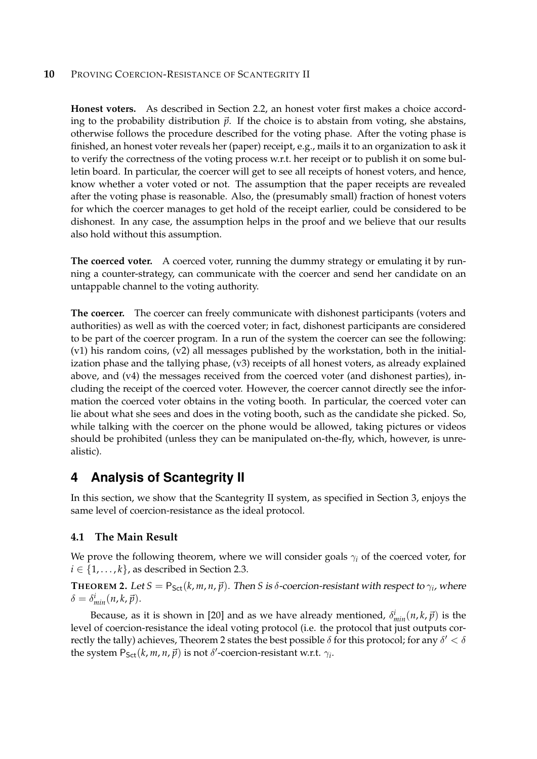**Honest voters.** As described in Section 2.2, an honest voter first makes a choice according to the probability distribution  $\vec{p}$ . If the choice is to abstain from voting, she abstains, otherwise follows the procedure described for the voting phase. After the voting phase is finished, an honest voter reveals her (paper) receipt, e.g., mails it to an organization to ask it to verify the correctness of the voting process w.r.t. her receipt or to publish it on some bulletin board. In particular, the coercer will get to see all receipts of honest voters, and hence, know whether a voter voted or not. The assumption that the paper receipts are revealed after the voting phase is reasonable. Also, the (presumably small) fraction of honest voters for which the coercer manages to get hold of the receipt earlier, could be considered to be dishonest. In any case, the assumption helps in the proof and we believe that our results also hold without this assumption.

**The coerced voter.** A coerced voter, running the dummy strategy or emulating it by running a counter-strategy, can communicate with the coercer and send her candidate on an untappable channel to the voting authority.

**The coercer.** The coercer can freely communicate with dishonest participants (voters and authorities) as well as with the coerced voter; in fact, dishonest participants are considered to be part of the coercer program. In a run of the system the coercer can see the following:  $(v1)$  his random coins,  $(v2)$  all messages published by the workstation, both in the initialization phase and the tallying phase, (v3) receipts of all honest voters, as already explained above, and  $(v4)$  the messages received from the coerced voter (and dishonest parties), including the receipt of the coerced voter. However, the coercer cannot directly see the information the coerced voter obtains in the voting booth. In particular, the coerced voter can lie about what she sees and does in the voting booth, such as the candidate she picked. So, while talking with the coercer on the phone would be allowed, taking pictures or videos should be prohibited (unless they can be manipulated on-the-fly, which, however, is unrealistic).

# **4 Analysis of Scantegrity II**

In this section, we show that the Scantegrity II system, as specified in Section 3, enjoys the same level of coercion-resistance as the ideal protocol.

## **4.1 The Main Result**

We prove the following theorem, where we will consider goals  $\gamma_i$  of the coerced voter, for  $i \in \{1, \ldots, k\}$ , as described in Section 2.3.

**T**HEOREM 2. Let  $S = \mathsf{P}_{\mathsf{Sct}}(k,m,n,\vec{p})$ . Then *S* is  $\delta$ -coercion-resistant with respect to  $\gamma_i$ , where  $\delta = \delta_{min}^i(n, k, \vec{p}).$ 

Because, as it is shown in [20] and as we have already mentioned,  $\delta_{min}^i(n, k, \vec{p})$  is the level of coercion-resistance the ideal voting protocol (i.e. the protocol that just outputs correctly the tally) achieves, Theorem 2 states the best possible  $\delta$  for this protocol; for any  $\delta' < \delta$ the system  $P_{\mathsf{Sct}}(k,m,n,\vec{p})$  is not  $\delta'$ -coercion-resistant w.r.t.  $\gamma_i$ .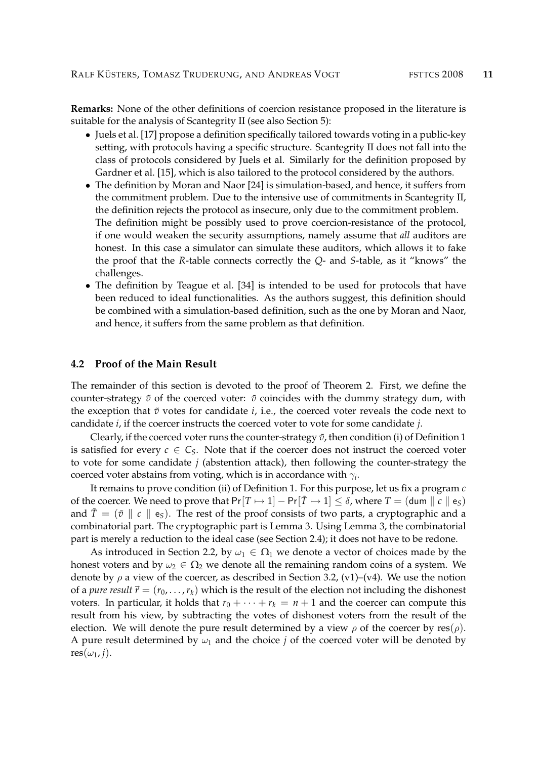**Remarks:** None of the other definitions of coercion resistance proposed in the literature is suitable for the analysis of Scantegrity II (see also Section 5):

- Juels et al. [17] propose a definition specifically tailored towards voting in a public-key setting, with protocols having a specific structure. Scantegrity II does not fall into the class of protocols considered by Juels et al. Similarly for the definition proposed by Gardner et al. [15], which is also tailored to the protocol considered by the authors.
- The definition by Moran and Naor [24] is simulation-based, and hence, it suffers from the commitment problem. Due to the intensive use of commitments in Scantegrity II, the definition rejects the protocol as insecure, only due to the commitment problem. The definition might be possibly used to prove coercion-resistance of the protocol, if one would weaken the security assumptions, namely assume that *all* auditors are honest. In this case a simulator can simulate these auditors, which allows it to fake the proof that the *R*-table connects correctly the *Q*- and *S*-table, as it "knows" the challenges.
- The definition by Teague et al. [34] is intended to be used for protocols that have been reduced to ideal functionalities. As the authors suggest, this definition should be combined with a simulation-based definition, such as the one by Moran and Naor, and hence, it suffers from the same problem as that definition.

#### **4.2 Proof of the Main Result**

The remainder of this section is devoted to the proof of Theorem 2. First, we define the counter-strategy  $\tilde{v}$  of the coerced voter:  $\tilde{v}$  coincides with the dummy strategy dum, with the exception that  $\tilde{v}$  votes for candidate *i*, i.e., the coerced voter reveals the code next to candidate *i*, if the coercer instructs the coerced voter to vote for some candidate *j*.

Clearly, if the coerced voter runs the counter-strategy  $\tilde{v}$ , then condition (i) of Definition 1 is satisfied for every  $c \in C_S$ . Note that if the coercer does not instruct the coerced voter to vote for some candidate *j* (abstention attack), then following the counter-strategy the coerced voter abstains from voting, which is in accordance with  $\gamma_i.$ 

It remains to prove condition (ii) of Definition 1. For this purpose, let us fix a program *c* of the coercer. We need to prove that  $Pr[T \mapsto 1] - Pr[\tilde{T} \mapsto 1] \le \delta$ , where  $T = (\text{dum} || c || \textbf{e}_S)$ and  $\tilde{T} = (\tilde{v} \parallel c \parallel \epsilon_s)$ . The rest of the proof consists of two parts, a cryptographic and a combinatorial part. The cryptographic part is Lemma 3. Using Lemma 3, the combinatorial part is merely a reduction to the ideal case (see Section 2.4); it does not have to be redone.

As introduced in Section 2.2, by  $\omega_1 \in \Omega_1$  we denote a vector of choices made by the honest voters and by  $\omega_2 \in \Omega_2$  we denote all the remaining random coins of a system. We denote by  $\rho$  a view of the coercer, as described in Section 3.2, (v1)–(v4). We use the notion of a *pure result*  $\vec{r} = (r_0, \ldots, r_k)$  which is the result of the election not including the dishonest voters. In particular, it holds that  $r_0 + \cdots + r_k = n + 1$  and the coercer can compute this result from his view, by subtracting the votes of dishonest voters from the result of the election. We will denote the pure result determined by a view  $\rho$  of the coercer by res $(\rho)$ . A pure result determined by  $\omega_1$  and the choice *j* of the coerced voter will be denoted by  $res(\omega_1, j)$ .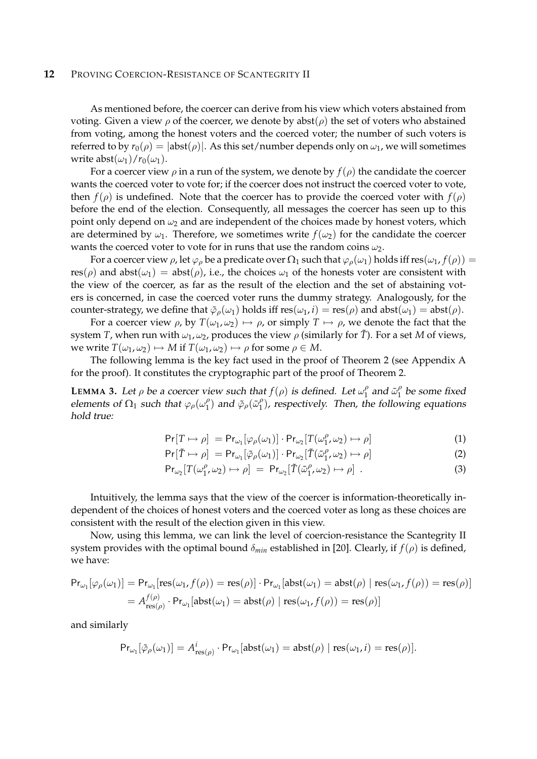As mentioned before, the coercer can derive from his view which voters abstained from voting. Given a view  $\rho$  of the coercer, we denote by abst $(\rho)$  the set of voters who abstained from voting, among the honest voters and the coerced voter; the number of such voters is referred to by  $r_0(\rho) = |\text{abst}(\rho)|$ . As this set/number depends only on  $\omega_1$ , we will sometimes write abst $(\omega_1)/r_0(\omega_1)$ .

For a coercer view  $\rho$  in a run of the system, we denote by  $f(\rho)$  the candidate the coercer wants the coerced voter to vote for; if the coercer does not instruct the coerced voter to vote, then  $f(\rho)$  is undefined. Note that the coercer has to provide the coerced voter with  $f(\rho)$ before the end of the election. Consequently, all messages the coercer has seen up to this point only depend on  $\omega_2$  and are independent of the choices made by honest voters, which are determined by  $\omega_1$ . Therefore, we sometimes write  $f(\omega_2)$  for the candidate the coercer wants the coerced voter to vote for in runs that use the random coins  $\omega_2$ .

For a coercer view  $\rho$ , let  $\varphi_\rho$  be a predicate over  $\Omega_1$  such that  $\varphi_\rho(\omega_1)$  holds iff res $(\omega_1, f(\rho)) =$ res( $\rho$ ) and abst( $\omega_1$ ) = abst( $\rho$ ), i.e., the choices  $\omega_1$  of the honests voter are consistent with the view of the coercer, as far as the result of the election and the set of abstaining voters is concerned, in case the coerced voter runs the dummy strategy. Analogously, for the counter-strategy, we define that  $\tilde{\varphi}_0(\omega_1)$  holds iff res $(\omega_1, i) = \text{res}(\rho)$  and  $\text{abst}(\omega_1) = \text{abst}(\rho)$ .

For a coercer view  $\rho$ , by  $T(\omega_1, \omega_2) \mapsto \rho$ , or simply  $T \mapsto \rho$ , we denote the fact that the system *T*, when run with  $\omega_1$ ,  $\omega_2$ , produces the view  $\rho$  (similarly for  $\tilde{T}$ ). For a set *M* of views, we write  $T(\omega_1, \omega_2) \mapsto M$  if  $T(\omega_1, \omega_2) \mapsto \rho$  for some  $\rho \in M$ .

The following lemma is the key fact used in the proof of Theorem 2 (see Appendix A for the proof). It constitutes the cryptographic part of the proof of Theorem 2.

**LEMMA** 3. Let  $\rho$  be a coercer view such that  $f(\rho)$  is defined. Let  $\omega_1^{\rho}$  $n_1^{\rho}$  and  $\tilde{\omega}_1^{\rho}$  $j_1^{\rho}$  be some fixed elements of  $\Omega_1$  such that  $\varphi_\rho(\omega_1^\rho)$  $\binom{\rho}{1}$  and  $\tilde{\varphi}_{\rho}(\tilde{\omega}_1^{\rho})$  $\binom{p}{1}$ , respectively. Then, the following equations hold true:

$$
\Pr[T \mapsto \rho] = \Pr_{\omega_1}[\varphi_{\rho}(\omega_1)] \cdot \Pr_{\omega_2}[T(\omega_1^{\rho}, \omega_2) \mapsto \rho] \tag{1}
$$

$$
\Pr[\tilde{T} \mapsto \rho] = \Pr_{\omega_1}[\tilde{\varphi}_{\rho}(\omega_1)] \cdot \Pr_{\omega_2}[\tilde{T}(\tilde{\omega}_1^{\rho}, \omega_2) \mapsto \rho] \tag{2}
$$

$$
\Pr_{\omega_2}[T(\omega_1^{\rho}, \omega_2) \mapsto \rho] = \Pr_{\omega_2}[\tilde{T}(\tilde{\omega}_1^{\rho}, \omega_2) \mapsto \rho] . \tag{3}
$$

Intuitively, the lemma says that the view of the coercer is information-theoretically independent of the choices of honest voters and the coerced voter as long as these choices are consistent with the result of the election given in this view.

Now, using this lemma, we can link the level of coercion-resistance the Scantegrity II system provides with the optimal bound  $\delta_{min}$  established in [20]. Clearly, if  $f(\rho)$  is defined, we have:

$$
\begin{aligned} \mathsf{Pr}_{\omega_1}[\varphi_{\rho}(\omega_1)] &= \mathsf{Pr}_{\omega_1}[\operatorname{res}(\omega_1, f(\rho)) = \operatorname{res}(\rho)] \cdot \mathsf{Pr}_{\omega_1}[\operatorname{abst}(\omega_1) = \operatorname{abst}(\rho) \mid \operatorname{res}(\omega_1, f(\rho)) = \operatorname{res}(\rho)] \\ &= A_{\operatorname{res}(\rho)}^{f(\rho)} \cdot \mathsf{Pr}_{\omega_1}[\operatorname{abst}(\omega_1) = \operatorname{abst}(\rho) \mid \operatorname{res}(\omega_1, f(\rho)) = \operatorname{res}(\rho)] \end{aligned}
$$

and similarly

$$
\mathsf{Pr}_{\omega_1}[\tilde{\varphi}_{\rho}(\omega_1)] = A^i_{\mathrm{res}(\rho)} \cdot \mathsf{Pr}_{\omega_1}[\mathrm{abst}(\omega_1) = \mathrm{abst}(\rho) \mid \mathrm{res}(\omega_1, i) = \mathrm{res}(\rho)].
$$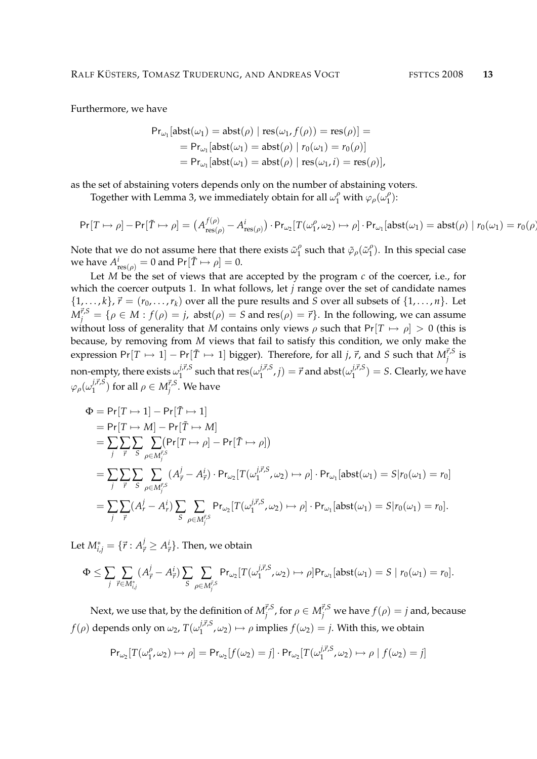Furthermore, we have

$$
\begin{aligned} \mathsf{Pr}_{\omega_1}[\text{abst}(\omega_1) = \text{abst}(\rho) \mid \text{res}(\omega_1, f(\rho)) = \text{res}(\rho)] &= \\ &= \mathsf{Pr}_{\omega_1}[\text{abst}(\omega_1) = \text{abst}(\rho) \mid r_0(\omega_1) = r_0(\rho)] \\ &= \mathsf{Pr}_{\omega_1}[\text{abst}(\omega_1) = \text{abst}(\rho) \mid \text{res}(\omega_1, i) = \text{res}(\rho)], \end{aligned}
$$

as the set of abstaining voters depends only on the number of abstaining voters.

Together with Lemma 3, we immediately obtain for all  $\omega_1^{\rho}$  with  $\varphi_{\rho}(\omega_1^{\rho})$  $\binom{\rho}{1}$ :

$$
Pr[T \mapsto \rho] - Pr[\tilde{T} \mapsto \rho] = (A_{\text{res}(\rho)}^{f(\rho)} - A_{\text{res}(\rho)}^i) \cdot Pr_{\omega_2}[T(\omega_1^{\rho}, \omega_2) \mapsto \rho] \cdot Pr_{\omega_1}[\text{abst}(\omega_1) = \text{abst}(\rho) \mid r_0(\omega_1) = r_0(\rho)
$$

Note that we do not assume here that there exists  $\tilde{\omega}_1^{\rho}$  $\frac{\rho}{1}$  such that  $\tilde{\varphi}_{\rho}(\tilde{\omega}_1^{\rho})$  $1<sup>\rho</sup>$ ). In this special case we have  $A^i_{\operatorname{res}(\rho)}=0$  and  $\operatorname{\sf Pr}[\tilde{T}\mapsto\rho]=0.$ 

Let *M* be the set of views that are accepted by the program *c* of the coercer, i.e., for which the coercer outputs 1. In what follows, let *j* range over the set of candidate names  $\{1,\ldots,k\}$ ,  $\vec{r} = (r_0,\ldots,r_k)$  over all the pure results and *S* over all subsets of  $\{1,\ldots,n\}$ . Let  $M^{7,S}_{j} = \{\rho \in M : f(\rho) = j, \text{ abst}(\rho) = S \text{ and } \text{res}(\rho) = \vec{r}\}.$  In the following, we can assume without loss of generality that *M* contains only views  $\rho$  such that  $Pr[T \mapsto \rho] > 0$  (this is because, by removing from *M* views that fail to satisfy this condition, we only make the expression Pr $[T \mapsto 1] - \Pr[\tilde{T} \mapsto 1]$  bigger). Therefore, for all *j*,  $\vec{r}$ , and  $S$  such that  $M^{\vec{r},S}_{j}$  is non-empty, there exists  $\omega_1^{j,\vec{r},S}$  $j^{j,\vec{r},S}_{1}$  such that res $(\omega_1^{j,\vec{r},S})$  $j^{j,\vec{r},S}_{1}$ ,  $j$ ) =  $\vec{r}$  and abst $(\omega_1^{j,\vec{r},S})$  $j_1^{J,r,s}$ ) = *S*. Clearly, we have  $\varphi_{\rho}(\omega_{1}^{j,\vec{r},S}% )\equiv\varphi_{\rho}(\omega_{1}^{j,\vec{r},S})\equiv\varphi_{\rho}(\omega_{1}^{j,\vec{r},S})\equiv\varphi_{\rho}(\omega_{1}^{j,\vec{r},S})$  $j^{j,\vec{r},S}_{1})$  for all  $\rho \in M^{\vec{r},S}_{j}.$  We have

$$
\Phi = \Pr[T \mapsto 1] - \Pr[\tilde{T} \mapsto 1]
$$
\n
$$
= \Pr[T \mapsto M] - \Pr[\tilde{T} \mapsto M]
$$
\n
$$
= \sum_{j} \sum_{\vec{r}} \sum_{S} \sum_{\rho \in M_{j}^{\vec{r},S}} (\Pr[T \mapsto \rho] - \Pr[\tilde{T} \mapsto \rho])
$$
\n
$$
= \sum_{j} \sum_{\vec{r}} \sum_{S} \sum_{\rho \in M_{j}^{\vec{r},S}} (A_{\vec{r}}^{j} - A_{\vec{r}}^{j}) \cdot \Pr_{\omega_{2}}[T(\omega_{1}^{j,\vec{r},S}, \omega_{2}) \mapsto \rho] \cdot \Pr_{\omega_{1}}[\text{abst}(\omega_{1}) = S | r_{0}(\omega_{1}) = r_{0}]
$$
\n
$$
= \sum_{j} \sum_{\vec{r}} (A_{r}^{j} - A_{r}^{i}) \sum_{S} \sum_{\rho \in M_{j}^{\vec{r},S}} \Pr_{\omega_{2}}[T(\omega_{1}^{j,\vec{r},S}, \omega_{2}) \mapsto \rho] \cdot \Pr_{\omega_{1}}[\text{abst}(\omega_{1}) = S | r_{0}(\omega_{1}) = r_{0}].
$$

Let  $M_{i,j}^* = \{\vec{r}: A_{\vec{r}}^j \geq A_{\vec{r}}^i\}$ . Then, we obtain

$$
\Phi \leq \sum_j \sum_{\vec{r} \in M^*_{i,j}} (A^j_{\vec{r}} - A^i_{\vec{r}}) \sum_S \sum_{\rho \in M^{\vec{r}},S} \Pr_{\omega_2} [T(\omega_1^{j,\vec{r},S},\omega_2) \mapsto \rho] \Pr_{\omega_1} [\text{abst}(\omega_1) = S \mid r_0(\omega_1) = r_0].
$$

Next, we use that, by the definition of  $M^{\vec{r},S}_j$ , for  $\rho \in M^{\vec{r},S}_j$  we have  $f(\rho)=j$  and, because  $f(\rho)$  depends only on  $\omega_2$ ,  $T(\omega_1^{j,\vec{r},S})$  $j_1^{J,r,s}, \omega_2$   $\rightharpoonup$   $\rho$  implies  $f(\omega_2) = j$ . With this, we obtain

$$
\mathsf{Pr}_{\omega_2}[T(\omega_1^{\rho}, \omega_2) \mapsto \rho] = \mathsf{Pr}_{\omega_2}[f(\omega_2) = j] \cdot \mathsf{Pr}_{\omega_2}[T(\omega_1^{j\vec{r}, S}, \omega_2) \mapsto \rho \mid f(\omega_2) = j]
$$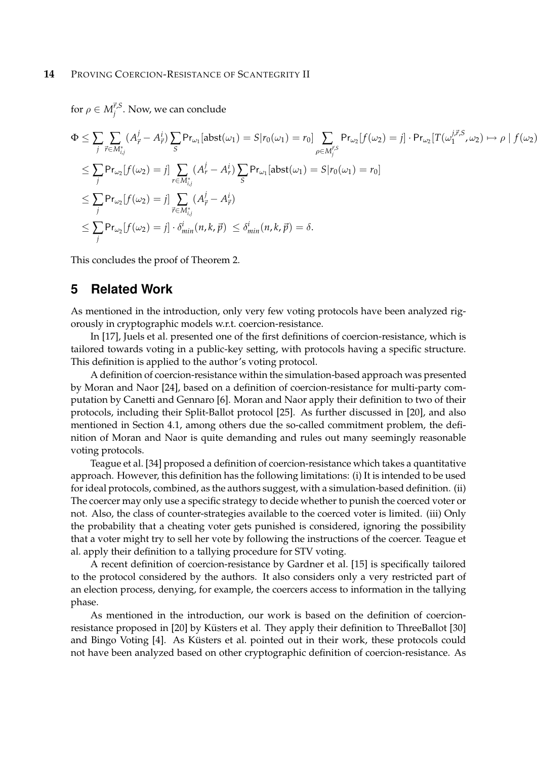for  $\rho \in M^{\vec{r},S}_{j}.$  Now, we can conclude

$$
\Phi \leq \sum_{j} \sum_{\vec{r} \in M_{i,j}^*} (A_{\vec{r}}^j - A_{\vec{r}}^i) \sum_{S} Pr_{\omega_1}[\text{abst}(\omega_1) = S | r_0(\omega_1) = r_0] \sum_{\rho \in M_{j}^{\vec{r},S}} Pr_{\omega_2}[f(\omega_2) = j] \cdot Pr_{\omega_2}[T(\omega_1^{j,\vec{r},S}, \omega_2) \mapsto \rho | f(\omega_2) \leq \sum_{j} Pr_{\omega_2}[f(\omega_2) = j] \sum_{r \in M_{i,j}^*} (A_r^j - A_r^i) \sum_{S} Pr_{\omega_1}[\text{abst}(\omega_1) = S | r_0(\omega_1) = r_0] \leq \sum_{j} Pr_{\omega_2}[f(\omega_2) = j] \sum_{\vec{r} \in M_{i,j}^*} (A_{\vec{r}}^j - A_{\vec{r}}^i) \leq \sum_{j} Pr_{\omega_2}[f(\omega_2) = j] \cdot \delta_{\text{min}}^i(n, k, \vec{p}) \leq \delta_{\text{min}}^i(n, k, \vec{p}) = \delta.
$$

This concludes the proof of Theorem 2.

## **5 Related Work**

As mentioned in the introduction, only very few voting protocols have been analyzed rigorously in cryptographic models w.r.t. coercion-resistance.

In [17], Juels et al. presented one of the first definitions of coercion-resistance, which is tailored towards voting in a public-key setting, with protocols having a specific structure. This definition is applied to the author's voting protocol.

A definition of coercion-resistance within the simulation-based approach was presented by Moran and Naor [24], based on a definition of coercion-resistance for multi-party computation by Canetti and Gennaro [6]. Moran and Naor apply their definition to two of their protocols, including their Split-Ballot protocol [25]. As further discussed in [20], and also mentioned in Section 4.1, among others due the so-called commitment problem, the definition of Moran and Naor is quite demanding and rules out many seemingly reasonable voting protocols.

Teague et al. [34] proposed a definition of coercion-resistance which takes a quantitative approach. However, this definition has the following limitations: (i) It is intended to be used for ideal protocols, combined, as the authors suggest, with a simulation-based definition. (ii) The coercer may only use a specific strategy to decide whether to punish the coerced voter or not. Also, the class of counter-strategies available to the coerced voter is limited. (iii) Only the probability that a cheating voter gets punished is considered, ignoring the possibility that a voter might try to sell her vote by following the instructions of the coercer. Teague et al. apply their definition to a tallying procedure for STV voting.

A recent definition of coercion-resistance by Gardner et al. [15] is specifically tailored to the protocol considered by the authors. It also considers only a very restricted part of an election process, denying, for example, the coercers access to information in the tallying phase.

As mentioned in the introduction, our work is based on the definition of coercionresistance proposed in [20] by Küsters et al. They apply their definition to ThreeBallot [30] and Bingo Voting [4]. As Küsters et al. pointed out in their work, these protocols could not have been analyzed based on other cryptographic definition of coercion-resistance. As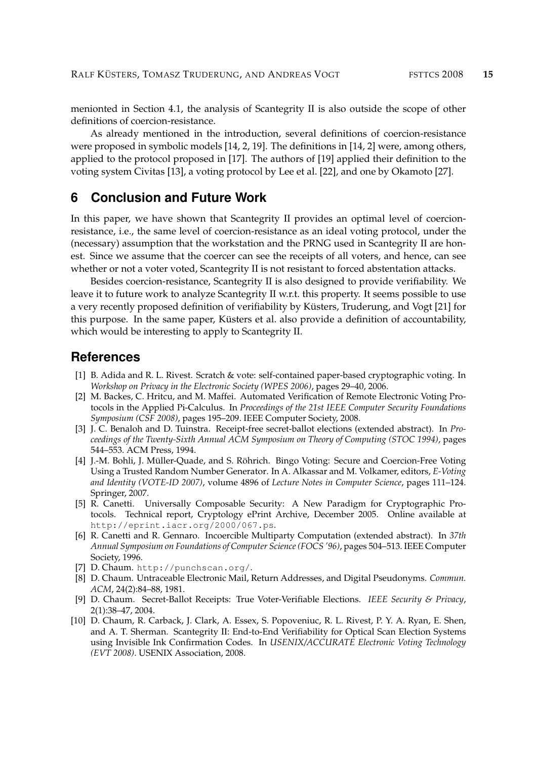menionted in Section 4.1, the analysis of Scantegrity II is also outside the scope of other definitions of coercion-resistance.

As already mentioned in the introduction, several definitions of coercion-resistance were proposed in symbolic models [14, 2, 19]. The definitions in [14, 2] were, among others, applied to the protocol proposed in [17]. The authors of [19] applied their definition to the voting system Civitas [13], a voting protocol by Lee et al. [22], and one by Okamoto [27].

## **6 Conclusion and Future Work**

In this paper, we have shown that Scantegrity II provides an optimal level of coercionresistance, i.e., the same level of coercion-resistance as an ideal voting protocol, under the (necessary) assumption that the workstation and the PRNG used in Scantegrity II are honest. Since we assume that the coercer can see the receipts of all voters, and hence, can see whether or not a voter voted, Scantegrity II is not resistant to forced abstentation attacks.

Besides coercion-resistance, Scantegrity II is also designed to provide verifiability. We leave it to future work to analyze Scantegrity II w.r.t. this property. It seems possible to use a very recently proposed definition of verifiability by Küsters, Truderung, and Vogt [21] for this purpose. In the same paper, Küsters et al. also provide a definition of accountability, which would be interesting to apply to Scantegrity II.

#### **References**

- [1] B. Adida and R. L. Rivest. Scratch & vote: self-contained paper-based cryptographic voting. In *Workshop on Privacy in the Electronic Society (WPES 2006)*, pages 29–40, 2006.
- [2] M. Backes, C. Hritcu, and M. Maffei. Automated Verification of Remote Electronic Voting Protocols in the Applied Pi-Calculus. In *Proceedings of the 21st IEEE Computer Security Foundations Symposium (CSF 2008)*, pages 195–209. IEEE Computer Society, 2008.
- [3] J. C. Benaloh and D. Tuinstra. Receipt-free secret-ballot elections (extended abstract). In *Proceedings of the Twenty-Sixth Annual ACM Symposium on Theory of Computing (STOC 1994)*, pages 544–553. ACM Press, 1994.
- [4] J.-M. Bohli, J. Müller-Quade, and S. Röhrich. Bingo Voting: Secure and Coercion-Free Voting Using a Trusted Random Number Generator. In A. Alkassar and M. Volkamer, editors, *E-Voting and Identity (VOTE-ID 2007)*, volume 4896 of *Lecture Notes in Computer Science*, pages 111–124. Springer, 2007.
- [5] R. Canetti. Universally Composable Security: A New Paradigm for Cryptographic Protocols. Technical report, Cryptology ePrint Archive, December 2005. Online available at http://eprint.iacr.org/2000/067.ps.
- [6] R. Canetti and R. Gennaro. Incoercible Multiparty Computation (extended abstract). In *37th Annual Symposium on Foundations of Computer Science (FOCS '96)*, pages 504–513. IEEE Computer Society, 1996.
- [7] D. Chaum. http://punchscan.org/.
- [8] D. Chaum. Untraceable Electronic Mail, Return Addresses, and Digital Pseudonyms. *Commun. ACM*, 24(2):84–88, 1981.
- [9] D. Chaum. Secret-Ballot Receipts: True Voter-Verifiable Elections. *IEEE Security & Privacy*, 2(1):38–47, 2004.
- [10] D. Chaum, R. Carback, J. Clark, A. Essex, S. Popoveniuc, R. L. Rivest, P. Y. A. Ryan, E. Shen, and A. T. Sherman. Scantegrity II: End-to-End Verifiability for Optical Scan Election Systems using Invisible Ink Confirmation Codes. In *USENIX/ACCURATE Electronic Voting Technology (EVT 2008)*. USENIX Association, 2008.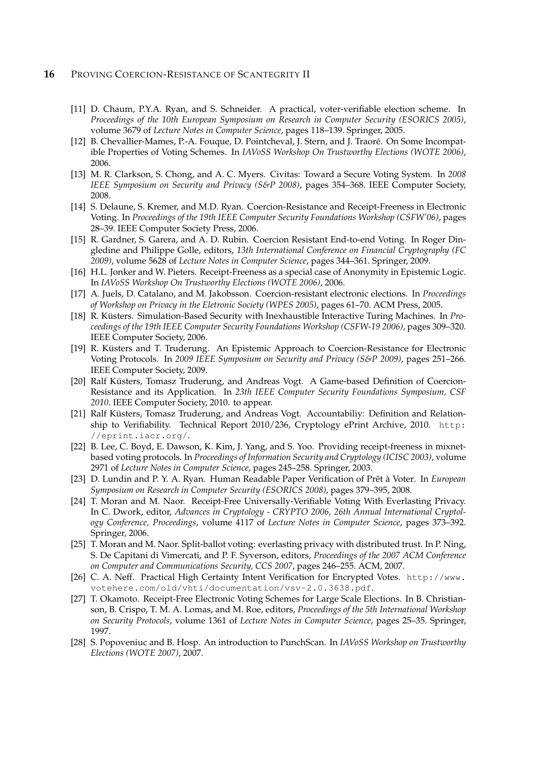- [11] D. Chaum, P.Y.A. Ryan, and S. Schneider. A practical, voter-verifiable election scheme. In *Proceedings of the 10th European Symposium on Research in Computer Security (ESORICS 2005)*, volume 3679 of *Lecture Notes in Computer Science*, pages 118–139. Springer, 2005.
- [12] B. Chevallier-Mames, P.-A. Fouque, D. Pointcheval, J. Stern, and J. Traore. On Some Incompat- ´ ible Properties of Voting Schemes. In *IAVoSS Workshop On Trustworthy Elections (WOTE 2006)*, 2006.
- [13] M. R. Clarkson, S. Chong, and A. C. Myers. Civitas: Toward a Secure Voting System. In *2008 IEEE Symposium on Security and Privacy (S&P 2008)*, pages 354–368. IEEE Computer Society, 2008.
- [14] S. Delaune, S. Kremer, and M.D. Ryan. Coercion-Resistance and Receipt-Freeness in Electronic Voting. In *Proceedings of the 19th IEEE Computer Security Foundations Workshop (CSFW'06)*, pages 28–39. IEEE Computer Society Press, 2006.
- [15] R. Gardner, S. Garera, and A. D. Rubin. Coercion Resistant End-to-end Voting. In Roger Dingledine and Philippe Golle, editors, *13th International Conference on Financial Cryptography (FC 2009)*, volume 5628 of *Lecture Notes in Computer Science*, pages 344–361. Springer, 2009.
- [16] H.L. Jonker and W. Pieters. Receipt-Freeness as a special case of Anonymity in Epistemic Logic. In *IAVoSS Workshop On Trustworthy Elections (WOTE 2006)*, 2006.
- [17] A. Juels, D. Catalano, and M. Jakobsson. Coercion-resistant electronic elections. In *Proceedings of Workshop on Privacy in the Eletronic Society (WPES 2005)*, pages 61–70. ACM Press, 2005.
- [18] R. Küsters. Simulation-Based Security with Inexhaustible Interactive Turing Machines. In *Proceedings of the 19th IEEE Computer Security Foundations Workshop (CSFW-19 2006)*, pages 309–320. IEEE Computer Society, 2006.
- [19] R. Küsters and T. Truderung. An Epistemic Approach to Coercion-Resistance for Electronic Voting Protocols. In *2009 IEEE Symposium on Security and Privacy (S&P 2009)*, pages 251–266. IEEE Computer Society, 2009.
- [20] Ralf Küsters, Tomasz Truderung, and Andreas Vogt. A Game-based Definition of Coercion-Resistance and its Application. In *23th IEEE Computer Security Foundations Symposium, CSF 2010*. IEEE Computer Society, 2010. to appear.
- [21] Ralf Küsters, Tomasz Truderung, and Andreas Vogt. Accountabiliy: Definition and Relationship to Verifiability. Technical Report 2010/236, Cryptology ePrint Archive, 2010. http: //eprint.iacr.org/.
- [22] B. Lee, C. Boyd, E. Dawson, K. Kim, J. Yang, and S. Yoo. Providing receipt-freeness in mixnetbased voting protocols. In *Proceedings of Information Security and Cryptology (ICISC 2003)*, volume 2971 of *Lecture Notes in Computer Science*, pages 245–258. Springer, 2003.
- [23] D. Lundin and P. Y. A. Ryan. Human Readable Paper Verification of Prêt à Voter. In *European Symposium on Research in Computer Security (ESORICS 2008)*, pages 379–395, 2008.
- [24] T. Moran and M. Naor. Receipt-Free Universally-Verifiable Voting With Everlasting Privacy. In C. Dwork, editor, *Advances in Cryptology - CRYPTO 2006, 26th Annual International Cryptology Conference, Proceedings*, volume 4117 of *Lecture Notes in Computer Science*, pages 373–392. Springer, 2006.
- [25] T. Moran and M. Naor. Split-ballot voting: everlasting privacy with distributed trust. In P. Ning, S. De Capitani di Vimercati, and P. F. Syverson, editors, *Proceedings of the 2007 ACM Conference on Computer and Communications Security, CCS 2007*, pages 246–255. ACM, 2007.
- [26] C. A. Neff. Practical High Certainty Intent Verification for Encrypted Votes. http://www. votehere.com/old/vhti/documentation/vsv-2.0.3638.pdf.
- [27] T. Okamoto. Receipt-Free Electronic Voting Schemes for Large Scale Elections. In B. Christianson, B. Crispo, T. M. A. Lomas, and M. Roe, editors, *Proceedings of the 5th International Workshop on Security Protocols*, volume 1361 of *Lecture Notes in Computer Science*, pages 25–35. Springer, 1997.
- [28] S. Popoveniuc and B. Hosp. An introduction to PunchScan. In *IAVoSS Workshop on Trustworthy Elections (WOTE 2007)*, 2007.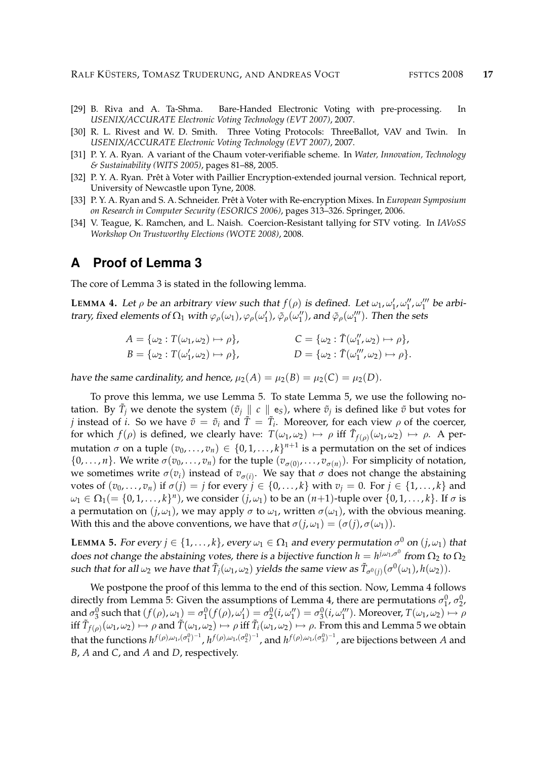- [29] B. Riva and A. Ta-Shma. Bare-Handed Electronic Voting with pre-processing. In *USENIX/ACCURATE Electronic Voting Technology (EVT 2007)*, 2007.
- [30] R. L. Rivest and W. D. Smith. Three Voting Protocols: ThreeBallot, VAV and Twin. In *USENIX/ACCURATE Electronic Voting Technology (EVT 2007)*, 2007.
- [31] P. Y. A. Ryan. A variant of the Chaum voter-verifiable scheme. In *Water, Innovation, Technology & Sustainability (WITS 2005)*, pages 81–88, 2005.
- [32] P. Y. A. Ryan. Prêt à Voter with Paillier Encryption-extended journal version. Technical report, University of Newcastle upon Tyne, 2008.
- [33] P. Y. A. Ryan and S. A. Schneider. Prêt à Voter with Re-encryption Mixes. In *European Symposium on Research in Computer Security (ESORICS 2006)*, pages 313–326. Springer, 2006.
- [34] V. Teague, K. Ramchen, and L. Naish. Coercion-Resistant tallying for STV voting. In *IAVoSS Workshop On Trustworthy Elections (WOTE 2008)*, 2008.

### **A Proof of Lemma 3**

The core of Lemma 3 is stated in the following lemma.

**LEMMA 4.** Let  $\rho$  be an arbitrary view such that  $f(\rho)$  is defined. Let  $\omega_1, \omega_1', \omega_1''', \omega_1'''$  be arbitrary, fixed elements of  $\Omega_1$  with  $\varphi_\rho(\omega_1)$ ,  $\varphi_\rho(\omega_1')$ ,  $\tilde{\varphi}_\rho(\omega_1'')$ , and  $\tilde{\varphi}_\rho(\omega_1''')$ . Then the sets

$$
A = {\omega_2 : T(\omega_1, \omega_2) \mapsto \rho},
$$
  
\n
$$
B = {\omega_2 : T(\omega'_1, \omega_2) \mapsto \rho},
$$
  
\n
$$
C = {\omega_2 : \tilde{T}(\omega''_1, \omega_2) \mapsto \rho},
$$
  
\n
$$
D = {\omega_2 : \tilde{T}(\omega'''_1, \omega_2) \mapsto \rho}.
$$

have the same cardinality, and hence,  $\mu_2(A) = \mu_2(B) = \mu_2(C) = \mu_2(D)$ .

To prove this lemma, we use Lemma 5. To state Lemma 5, we use the following notation. By  $\tilde{T}_j$  we denote the system  $(\tilde{v}_j \parallel c \parallel \mathsf{e}_S)$ , where  $\tilde{v}_j$  is defined like  $\tilde{v}$  but votes for *j* instead of *i*. So we have  $\tilde{v} = \tilde{v}_i$  and  $\tilde{T} = \tilde{T}_i$ . Moreover, for each view  $\rho$  of the coercer, for which  $f(\rho)$  is defined, we clearly have:  $T(\omega_1, \omega_2) \mapsto \rho$  iff  $\tilde{T}_{f(\rho)}(\omega_1, \omega_2) \mapsto \rho$ . A permutation  $\sigma$  on a tuple  $(v_0, \ldots, v_n) \in \{0, 1, \ldots, k\}^{n+1}$  is a permutation on the set of indices  $\{0,\ldots,n\}$ . We write  $\sigma(v_0,\ldots,v_n)$  for the tuple  $(v_{\sigma(0)},\ldots,v_{\sigma(n)})$ . For simplicity of notation, we sometimes write  $\sigma(v_i)$  instead of  $v_{\sigma(i)}$ . We say that  $\sigma$  does not change the abstaining votes of  $(v_0, \ldots, v_n)$  if  $\sigma(j) = j$  for every  $j \in \{0, \ldots, k\}$  with  $v_j = 0$ . For  $j \in \{1, \ldots, k\}$  and  $\omega_1 \in \Omega_1(=\{0,1,\ldots,k\}^n)$ , we consider  $(j,\omega_1)$  to be an  $(n+1)$ -tuple over  $\{0,1,\ldots,k\}$ . If  $\sigma$  is a permutation on  $(j, \omega_1)$ , we may apply  $\sigma$  to  $\omega_1$ , written  $\sigma(\omega_1)$ , with the obvious meaning. With this and the above conventions, we have that  $\sigma(j,\omega_1) = (\sigma(j), \sigma(\omega_1)).$ 

**LEMMA 5.** For every  $j \in \{1, \ldots, k\}$ , every  $\omega_1 \in \Omega_1$  and every permutation  $\sigma^0$  on  $(j, \omega_1)$  that does not change the abstaining votes, there is a bijective function  $h=h^{j,\omega_1,\sigma^0}$  from  $\Omega_2$  to  $\Omega_2$  $s$ uch that for all  $\omega_2$  we have that  $\tilde T_j(\omega_1,\omega_2)$  yields the same view as  $\tilde T_{\sigma^0(j)}(\sigma^0(\omega_1)$ ,  $h(\omega_2)).$ 

We postpone the proof of this lemma to the end of this section. Now, Lemma 4 follows directly from Lemma 5: Given the assumptions of Lemma 4, there are permutations  $\sigma_1^0$ ,  $\sigma_2^0$ , and  $\sigma_3^0$  such that  $(f(\rho), \omega_1) = \sigma_1^0(f(\rho), \omega_1') = \sigma_2^0(i, \omega_1'') = \sigma_3^0(i, \omega_1''')$ . Moreover,  $T(\omega_1, \omega_2) \mapsto \rho_3^0(i, \omega_1'')$  $\inf\tilde{T}_{f(\rho)}(\omega_1,\omega_2)\mapsto\rho$  and  $\tilde{T}(\omega_1,\omega_2)\mapsto\rho$  iff  $\tilde{T}_i(\omega_1,\omega_2)\mapsto\rho.$  From this and Lemma 5 we obtain that the functions  $h^{f(\rho),\omega_1,(\sigma_1^0)^{-1}}$ ,  $h^{f(\rho),\omega_1,(\sigma_2^0)^{-1}}$ , and  $h^{f(\rho),\omega_1,(\sigma_3^0)^{-1}}$ , are bijections between  $A$  and *B*, *A* and *C*, and *A* and *D*, respectively.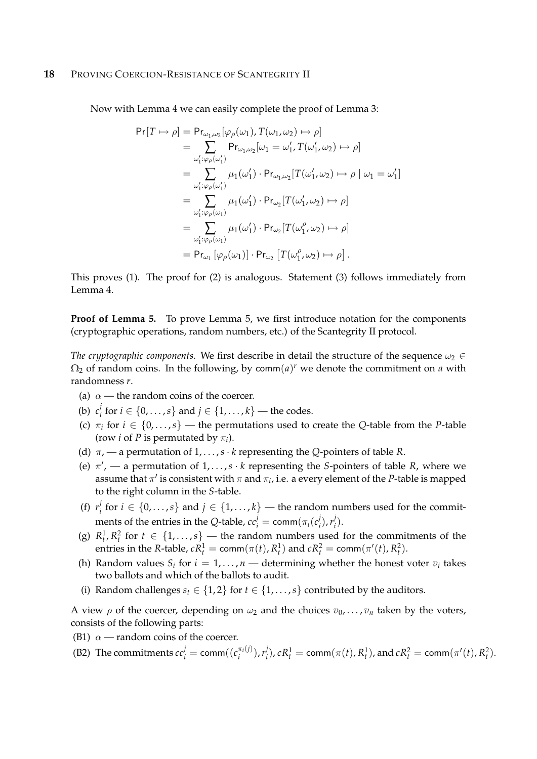Now with Lemma 4 we can easily complete the proof of Lemma 3:

$$
Pr[T \mapsto \rho] = Pr_{\omega_1,\omega_2}[\varphi_{\rho}(\omega_1), T(\omega_1, \omega_2) \mapsto \rho]
$$
  
\n
$$
= \sum_{\omega'_1:\varphi_{\rho}(\omega'_1)} Pr_{\omega_1,\omega_2}[\omega_1 = \omega'_1, T(\omega'_1, \omega_2) \mapsto \rho]
$$
  
\n
$$
= \sum_{\omega'_1:\varphi_{\rho}(\omega'_1)} \mu_1(\omega'_1) \cdot Pr_{\omega_1,\omega_2}[T(\omega'_1, \omega_2) \mapsto \rho \mid \omega_1 = \omega'_1]
$$
  
\n
$$
= \sum_{\omega'_1:\varphi_{\rho}(\omega_1)} \mu_1(\omega'_1) \cdot Pr_{\omega_2}[T(\omega'_1, \omega_2) \mapsto \rho]
$$
  
\n
$$
= \sum_{\omega'_1:\varphi_{\rho}(\omega_1)} \mu_1(\omega'_1) \cdot Pr_{\omega_2}[T(\omega'_1, \omega_2) \mapsto \rho]
$$
  
\n
$$
= Pr_{\omega_1}[\varphi_{\rho}(\omega_1)] \cdot Pr_{\omega_2}[T(\omega'_1, \omega_2) \mapsto \rho].
$$

This proves (1). The proof for (2) is analogous. Statement (3) follows immediately from Lemma 4.

**Proof of Lemma 5.** To prove Lemma 5, we first introduce notation for the components (cryptographic operations, random numbers, etc.) of the Scantegrity II protocol.

*The cryptographic components.* We first describe in detail the structure of the sequence  $\omega_2 \in$  $\Omega_2$  of random coins. In the following, by comm $(a)^r$  we denote the commitment on *a* with randomness *r*.

- (a)  $\alpha$  the random coins of the coercer.
- (b)  $c_i^j$ *i*<sub>∤</sub> for *i* ∈ {0, . . . , *s*} and *j* ∈ {1, . . . , *k*} — the codes.
- (c)  $\pi_i$  for  $i \in \{0, \ldots, s\}$  the permutations used to create the *Q*-table from the *P*-table (row *i* of *P* is permutated by  $\pi_i$ ).
- (d)  $\pi$ , a permutation of 1, . . . , *s*  $\cdot$  *k* representing the *Q*-pointers of table *R*.
- (e)  $\pi'$ , a permutation of  $1, \ldots, s \cdot k$  representing the *S*-pointers of table *R*, where we assume that  $\pi'$  is consistent with  $\pi$  and  $\pi_i$ , i.e. a every element of the *P*-table is mapped to the right column in the *S*-table.
- (f) *r j*  $\mathbf{f}_i$  for  $i \in \{0, \ldots, s\}$  and  $j \in \{1, \ldots, k\}$  — the random numbers used for the commitments of the entries in the *Q*-table,  $cc_i^j = \text{comm}(\pi_i(c_i^j))$ *i* ),*r j i* ).
- (g)  $R_t^1, R_t^2$  for  $t \in \{1, ..., s\}$  the random numbers used for the commitments of the entries in the *R*-table,  $cR_t^1 = \text{comm}(\pi(t), R_t^1)$  and  $cR_t^2 = \text{comm}(\pi'(t), R_t^2)$ .
- (h) Random values  $S_i$  for  $i = 1, ..., n$  determining whether the honest voter  $v_i$  takes two ballots and which of the ballots to audit.
- (i) Random challenges  $s_t \in \{1,2\}$  for  $t \in \{1,\ldots,s\}$  contributed by the auditors.

A view  $\rho$  of the coercer, depending on  $\omega_2$  and the choices  $v_0, \ldots, v_n$  taken by the voters, consists of the following parts:

- (B1)  $\alpha$  random coins of the coercer.
- (B2) The commitments  $cc_i^j = \text{comm}((c_i^{\pi_i(j)})$  $\binom{\pi_i(j)}{i}$ , r<sup>j</sup>  $I_t^j$ ),  $cR_t^1 = \text{comm}(\pi(t), R_t^1)$ , and  $cR_t^2 = \text{comm}(\pi'(t), R_t^2)$ .